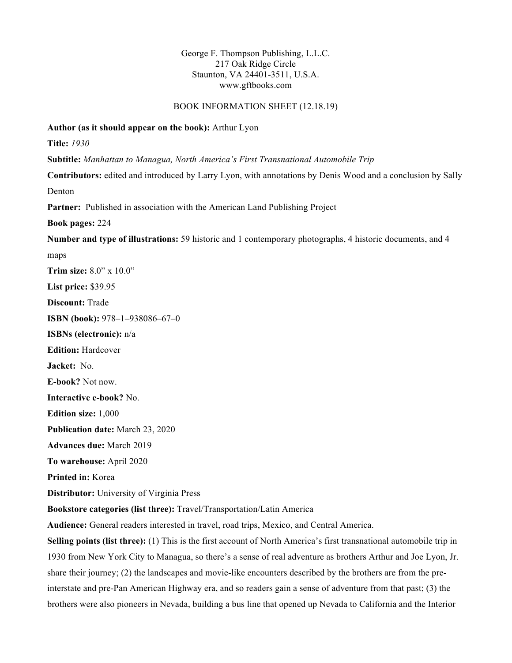# George F. Thompson Publishing, L.L.C. 217 Oak Ridge Circle Staunton, VA 24401-3511, U.S.A. www.gftbooks.com

## BOOK INFORMATION SHEET (12.18.19)

### **Author (as it should appear on the book):** Arthur Lyon

**Title:** *1930*

**Subtitle:** *Manhattan to Managua, North America's First Transnational Automobile Trip* 

**Contributors:** edited and introduced by Larry Lyon, with annotations by Denis Wood and a conclusion by Sally Denton

**Partner:** Published in association with the American Land Publishing Project

**Book pages:** 224

**Number and type of illustrations:** 59 historic and 1 contemporary photographs, 4 historic documents, and 4

maps **Trim size:** 8.0" x 10.0" **List price:** \$39.95 **Discount:** Trade **ISBN (book):** 978–1–938086–67–0 **ISBNs (electronic):** n/a **Edition:** Hardcover **Jacket:** No. **E-book?** Not now. **Interactive e-book?** No. **Edition size:** 1,000 **Publication date:** March 23, 2020 **Advances due:** March 2019 **To warehouse:** April 2020 **Printed in:** Korea **Distributor:** University of Virginia Press **Bookstore categories (list three):** Travel/Transportation/Latin America **Audience:** General readers interested in travel, road trips, Mexico, and Central America. **Selling points (list three):** (1) This is the first account of North America's first transnational automobile trip in

1930 from New York City to Managua, so there's a sense of real adventure as brothers Arthur and Joe Lyon, Jr. share their journey; (2) the landscapes and movie-like encounters described by the brothers are from the preinterstate and pre-Pan American Highway era, and so readers gain a sense of adventure from that past; (3) the brothers were also pioneers in Nevada, building a bus line that opened up Nevada to California and the Interior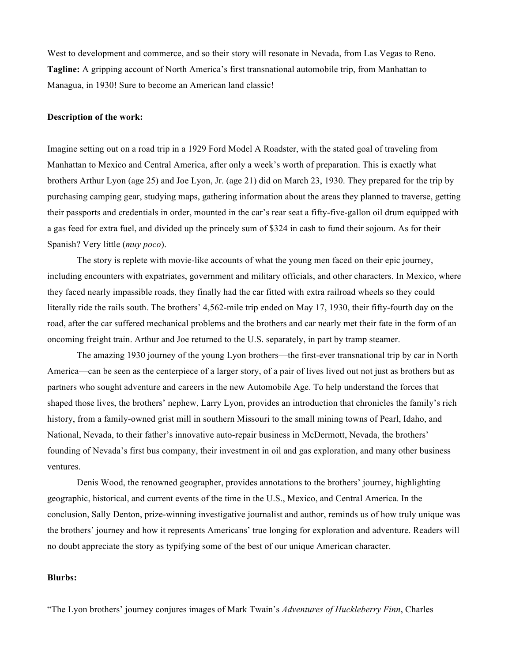West to development and commerce, and so their story will resonate in Nevada, from Las Vegas to Reno. **Tagline:** A gripping account of North America's first transnational automobile trip, from Manhattan to Managua, in 1930! Sure to become an American land classic!

#### **Description of the work:**

Imagine setting out on a road trip in a 1929 Ford Model A Roadster, with the stated goal of traveling from Manhattan to Mexico and Central America, after only a week's worth of preparation. This is exactly what brothers Arthur Lyon (age 25) and Joe Lyon, Jr. (age 21) did on March 23, 1930. They prepared for the trip by purchasing camping gear, studying maps, gathering information about the areas they planned to traverse, getting their passports and credentials in order, mounted in the car's rear seat a fifty-five-gallon oil drum equipped with a gas feed for extra fuel, and divided up the princely sum of \$324 in cash to fund their sojourn. As for their Spanish? Very little (*muy poco*).

The story is replete with movie-like accounts of what the young men faced on their epic journey, including encounters with expatriates, government and military officials, and other characters. In Mexico, where they faced nearly impassible roads, they finally had the car fitted with extra railroad wheels so they could literally ride the rails south. The brothers' 4,562-mile trip ended on May 17, 1930, their fifty-fourth day on the road, after the car suffered mechanical problems and the brothers and car nearly met their fate in the form of an oncoming freight train. Arthur and Joe returned to the U.S. separately, in part by tramp steamer.

The amazing 1930 journey of the young Lyon brothers—the first-ever transnational trip by car in North America—can be seen as the centerpiece of a larger story, of a pair of lives lived out not just as brothers but as partners who sought adventure and careers in the new Automobile Age. To help understand the forces that shaped those lives, the brothers' nephew, Larry Lyon, provides an introduction that chronicles the family's rich history, from a family-owned grist mill in southern Missouri to the small mining towns of Pearl, Idaho, and National, Nevada, to their father's innovative auto-repair business in McDermott, Nevada, the brothers' founding of Nevada's first bus company, their investment in oil and gas exploration, and many other business ventures.

Denis Wood, the renowned geographer, provides annotations to the brothers' journey, highlighting geographic, historical, and current events of the time in the U.S., Mexico, and Central America. In the conclusion, Sally Denton, prize-winning investigative journalist and author, reminds us of how truly unique was the brothers' journey and how it represents Americans' true longing for exploration and adventure. Readers will no doubt appreciate the story as typifying some of the best of our unique American character.

# **Blurbs:**

"The Lyon brothers' journey conjures images of Mark Twain's *Adventures of Huckleberry Finn*, Charles